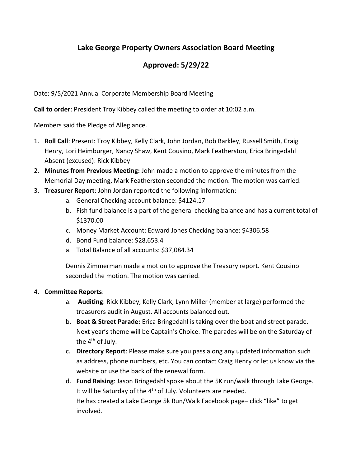## Lake George Property Owners Association Board Meeting

## **Approved: 5/29/22**

Date: 9/5/2021 Annual Corporate Membership Board Meeting

Call to order: President Troy Kibbey called the meeting to order at 10:02 a.m.

Members said the Pledge of Allegiance.

- 1. Roll Call: Present: Troy Kibbey, Kelly Clark, John Jordan, Bob Barkley, Russell Smith, Craig Henry, Lori Heimburger, Nancy Shaw, Kent Cousino, Mark Featherston, Erica Bringedahl Absent (excused): Rick Kibbey
- 2. Minutes from Previous Meeting: John made a motion to approve the minutes from the Memorial Day meeting, Mark Featherston seconded the motion. The motion was carried.
- 3. Treasurer Report: John Jordan reported the following information:
	- a. General Checking account balance: \$4124.17
	- b. Fish fund balance is a part of the general checking balance and has a current total of \$1370.00
	- c. Money Market Account: Edward Jones Checking balance: \$4306.58
	- d. Bond Fund balance: \$28,653.4
	- a. Total Balance of all accounts: \$37,084.34

Dennis Zimmerman made a motion to approve the Treasury report. Kent Cousino seconded the motion. The motion was carried.

## 4. Committee Reports:

- a. Auditing: Rick Kibbey, Kelly Clark, Lynn Miller (member at large) performed the treasurers audit in August. All accounts balanced out.
- b. Boat & Street Parade: Erica Bringedahl is taking over the boat and street parade. Next year's theme will be Captain's Choice. The parades will be on the Saturday of the  $4<sup>th</sup>$  of July.
- c. Directory Report: Please make sure you pass along any updated information such as address, phone numbers, etc. You can contact Craig Henry or let us know via the website or use the back of the renewal form.
- d. Fund Raising: Jason Bringedahl spoke about the 5K run/walk through Lake George. It will be Saturday of the  $4<sup>th</sup>$  of July. Volunteers are needed. He has created a Lake George 5k Run/Walk Facebook page– click "like" to get involved.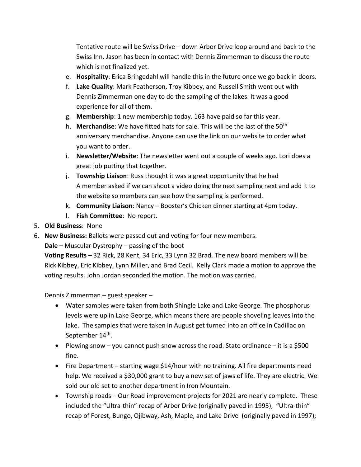Tentative route will be Swiss Drive – down Arbor Drive loop around and back to the Swiss Inn. Jason has been in contact with Dennis Zimmerman to discuss the route which is not finalized yet.

- e. Hospitality: Erica Bringedahl will handle this in the future once we go back in doors.
- f. Lake Quality: Mark Featherson, Troy Kibbey, and Russell Smith went out with Dennis Zimmerman one day to do the sampling of the lakes. It was a good experience for all of them.
- g. Membership: 1 new membership today. 163 have paid so far this year.
- h. Merchandise: We have fitted hats for sale. This will be the last of the 50<sup>th</sup> anniversary merchandise. Anyone can use the link on our website to order what you want to order.
- i. Newsletter/Website: The newsletter went out a couple of weeks ago. Lori does a great job putting that together.
- j. Township Liaison: Russ thought it was a great opportunity that he had A member asked if we can shoot a video doing the next sampling next and add it to the website so members can see how the sampling is performed.
- k. Community Liaison: Nancy Booster's Chicken dinner starting at 4pm today.
- l. Fish Committee: No report.
- 5. Old Business: None
- 6. New Business: Ballots were passed out and voting for four new members.

Dale – Muscular Dystrophy – passing of the boot

Voting Results – 32 Rick, 28 Kent, 34 Eric, 33 Lynn 32 Brad. The new board members will be Rick Kibbey, Eric Kibbey, Lynn Miller, and Brad Cecil. Kelly Clark made a motion to approve the voting results. John Jordan seconded the motion. The motion was carried.

Dennis Zimmerman – guest speaker –

- Water samples were taken from both Shingle Lake and Lake George. The phosphorus levels were up in Lake George, which means there are people shoveling leaves into the lake. The samples that were taken in August get turned into an office in Cadillac on September 14<sup>th</sup>.
- Plowing snow you cannot push snow across the road. State ordinance it is a \$500 fine.
- Fire Department starting wage \$14/hour with no training. All fire departments need help. We received a \$30,000 grant to buy a new set of jaws of life. They are electric. We sold our old set to another department in Iron Mountain.
- Township roads Our Road improvement projects for 2021 are nearly complete. These included the "Ultra-thin" recap of Arbor Drive (originally paved in 1995), "Ultra-thin" recap of Forest, Bungo, Ojibway, Ash, Maple, and Lake Drive (originally paved in 1997);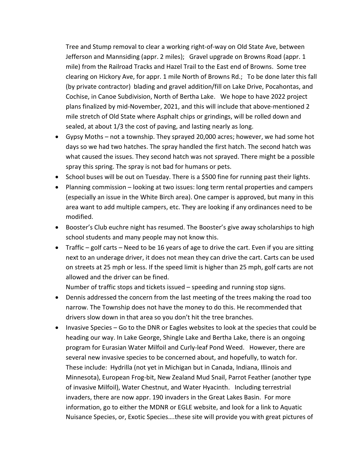Tree and Stump removal to clear a working right-of-way on Old State Ave, between Jefferson and Mannsiding (appr. 2 miles); Gravel upgrade on Browns Road (appr. 1 mile) from the Railroad Tracks and Hazel Trail to the East end of Browns. Some tree clearing on Hickory Ave, for appr. 1 mile North of Browns Rd.; To be done later this fall (by private contractor) blading and gravel addition/fill on Lake Drive, Pocahontas, and Cochise, in Canoe Subdivision, North of Bertha Lake. We hope to have 2022 project plans finalized by mid-November, 2021, and this will include that above-mentioned 2 mile stretch of Old State where Asphalt chips or grindings, will be rolled down and sealed, at about 1/3 the cost of paving, and lasting nearly as long.

- Gypsy Moths not a township. They sprayed 20,000 acres; however, we had some hot days so we had two hatches. The spray handled the first hatch. The second hatch was what caused the issues. They second hatch was not sprayed. There might be a possible spray this spring. The spray is not bad for humans or pets.
- School buses will be out on Tuesday. There is a \$500 fine for running past their lights.
- Planning commission looking at two issues: long term rental properties and campers (especially an issue in the White Birch area). One camper is approved, but many in this area want to add multiple campers, etc. They are looking if any ordinances need to be modified.
- Booster's Club euchre night has resumed. The Booster's give away scholarships to high school students and many people may not know this.
- $\bullet$  Traffic golf carts Need to be 16 years of age to drive the cart. Even if you are sitting next to an underage driver, it does not mean they can drive the cart. Carts can be used on streets at 25 mph or less. If the speed limit is higher than 25 mph, golf carts are not allowed and the driver can be fined.

Number of traffic stops and tickets issued – speeding and running stop signs.

- Dennis addressed the concern from the last meeting of the trees making the road too narrow. The Township does not have the money to do this. He recommended that drivers slow down in that area so you don't hit the tree branches.
- Invasive Species Go to the DNR or Eagles websites to look at the species that could be heading our way. In Lake George, Shingle Lake and Bertha Lake, there is an ongoing program for Eurasian Water Milfoil and Curly-leaf Pond Weed. However, there are several new invasive species to be concerned about, and hopefully, to watch for. These include: Hydrilla (not yet in Michigan but in Canada, Indiana, Illinois and Minnesota), European Frog-bit, New Zealand Mud Snail, Parrot Feather (another type of invasive Milfoil), Water Chestnut, and Water Hyacinth. Including terrestrial invaders, there are now appr. 190 invaders in the Great Lakes Basin. For more information, go to either the MDNR or EGLE website, and look for a link to Aquatic Nuisance Species, or, Exotic Species….these site will provide you with great pictures of